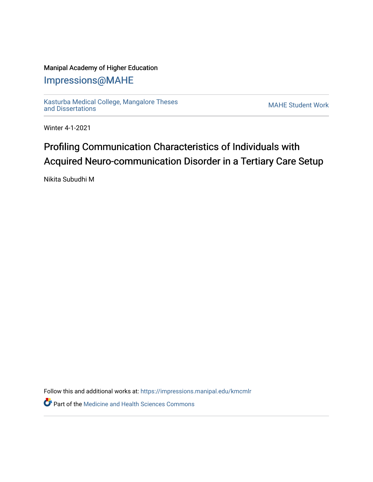### Manipal Academy of Higher Education

## [Impressions@MAHE](https://impressions.manipal.edu/)

[Kasturba Medical College, Mangalore Theses](https://impressions.manipal.edu/kmcmlr) [and Dissertations](https://impressions.manipal.edu/kmcmlr) [MAHE Student Work](https://impressions.manipal.edu/student-work) 

Winter 4-1-2021

# Profiling Communication Characteristics of Individuals with Acquired Neuro-communication Disorder in a Tertiary Care Setup

Nikita Subudhi M

Follow this and additional works at: [https://impressions.manipal.edu/kmcmlr](https://impressions.manipal.edu/kmcmlr?utm_source=impressions.manipal.edu%2Fkmcmlr%2F220&utm_medium=PDF&utm_campaign=PDFCoverPages) 

**Part of the Medicine and Health Sciences Commons**